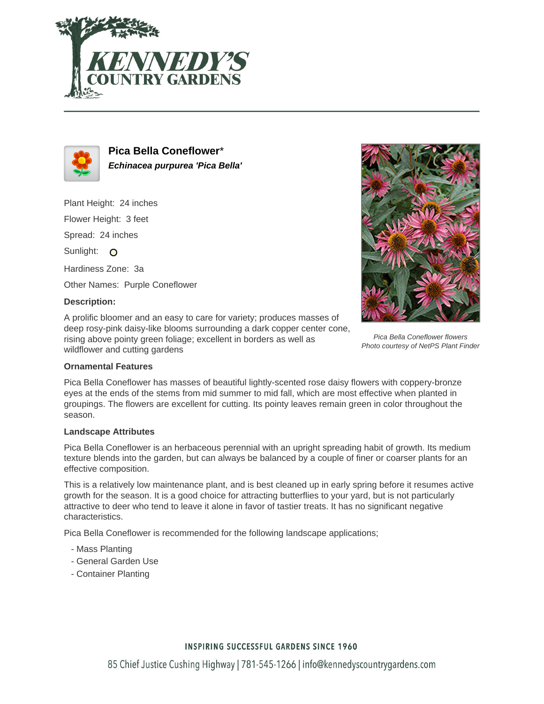



**Pica Bella Coneflower**\* **Echinacea purpurea 'Pica Bella'**

Plant Height: 24 inches

Flower Height: 3 feet

Spread: 24 inches

Sunlight: O

Hardiness Zone: 3a

Other Names: Purple Coneflower

## **Description:**

A prolific bloomer and an easy to care for variety; produces masses of deep rosy-pink daisy-like blooms surrounding a dark copper center cone, rising above pointy green foliage; excellent in borders as well as wildflower and cutting gardens



Pica Bella Coneflower flowers Photo courtesy of NetPS Plant Finder

## **Ornamental Features**

Pica Bella Coneflower has masses of beautiful lightly-scented rose daisy flowers with coppery-bronze eyes at the ends of the stems from mid summer to mid fall, which are most effective when planted in groupings. The flowers are excellent for cutting. Its pointy leaves remain green in color throughout the season.

## **Landscape Attributes**

Pica Bella Coneflower is an herbaceous perennial with an upright spreading habit of growth. Its medium texture blends into the garden, but can always be balanced by a couple of finer or coarser plants for an effective composition.

This is a relatively low maintenance plant, and is best cleaned up in early spring before it resumes active growth for the season. It is a good choice for attracting butterflies to your yard, but is not particularly attractive to deer who tend to leave it alone in favor of tastier treats. It has no significant negative characteristics.

Pica Bella Coneflower is recommended for the following landscape applications;

- Mass Planting
- General Garden Use
- Container Planting

## **INSPIRING SUCCESSFUL GARDENS SINCE 1960**

85 Chief Justice Cushing Highway | 781-545-1266 | info@kennedyscountrygardens.com